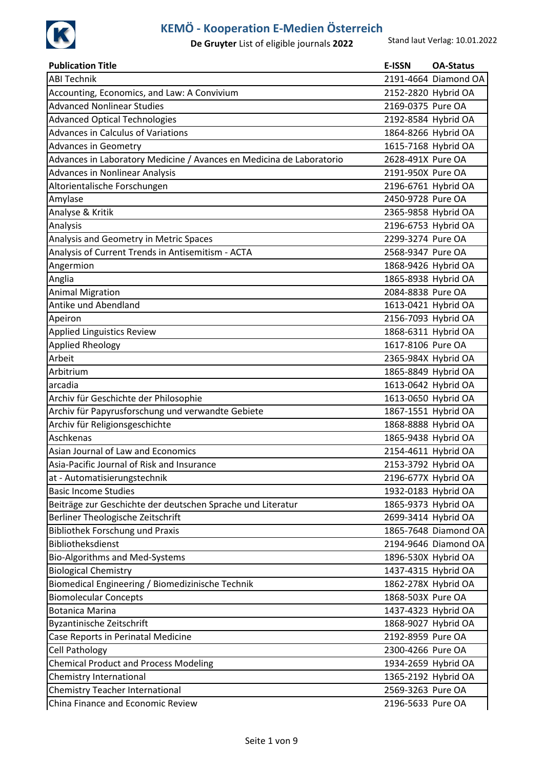

| <b>Publication Title</b>                                             | E-ISSN              | <b>OA-Status</b>     |
|----------------------------------------------------------------------|---------------------|----------------------|
| <b>ABI Technik</b>                                                   |                     | 2191-4664 Diamond OA |
| Accounting, Economics, and Law: A Convivium                          | 2152-2820 Hybrid OA |                      |
| <b>Advanced Nonlinear Studies</b>                                    | 2169-0375 Pure OA   |                      |
| <b>Advanced Optical Technologies</b>                                 | 2192-8584 Hybrid OA |                      |
| Advances in Calculus of Variations                                   | 1864-8266 Hybrid OA |                      |
| <b>Advances in Geometry</b>                                          | 1615-7168 Hybrid OA |                      |
| Advances in Laboratory Medicine / Avances en Medicina de Laboratorio | 2628-491X Pure OA   |                      |
| <b>Advances in Nonlinear Analysis</b>                                | 2191-950X Pure OA   |                      |
| Altorientalische Forschungen                                         | 2196-6761 Hybrid OA |                      |
| Amylase                                                              | 2450-9728 Pure OA   |                      |
| Analyse & Kritik                                                     | 2365-9858 Hybrid OA |                      |
| Analysis                                                             | 2196-6753 Hybrid OA |                      |
| Analysis and Geometry in Metric Spaces                               | 2299-3274 Pure OA   |                      |
| Analysis of Current Trends in Antisemitism - ACTA                    | 2568-9347 Pure OA   |                      |
| Angermion                                                            | 1868-9426 Hybrid OA |                      |
| Anglia                                                               | 1865-8938 Hybrid OA |                      |
| <b>Animal Migration</b>                                              | 2084-8838 Pure OA   |                      |
| Antike und Abendland                                                 | 1613-0421 Hybrid OA |                      |
| Apeiron                                                              | 2156-7093 Hybrid OA |                      |
| <b>Applied Linguistics Review</b>                                    | 1868-6311 Hybrid OA |                      |
| <b>Applied Rheology</b>                                              | 1617-8106 Pure OA   |                      |
| Arbeit                                                               | 2365-984X Hybrid OA |                      |
| Arbitrium                                                            | 1865-8849 Hybrid OA |                      |
| arcadia                                                              | 1613-0642 Hybrid OA |                      |
| Archiv für Geschichte der Philosophie                                | 1613-0650 Hybrid OA |                      |
| Archiv für Papyrusforschung und verwandte Gebiete                    | 1867-1551 Hybrid OA |                      |
| Archiv für Religionsgeschichte                                       | 1868-8888 Hybrid OA |                      |
| Aschkenas                                                            | 1865-9438 Hybrid OA |                      |
| Asian Journal of Law and Economics                                   | 2154-4611 Hybrid OA |                      |
| Asia-Pacific Journal of Risk and Insurance                           | 2153-3792 Hybrid OA |                      |
| at - Automatisierungstechnik                                         | 2196-677X Hybrid OA |                      |
| <b>Basic Income Studies</b>                                          | 1932-0183 Hybrid OA |                      |
| Beiträge zur Geschichte der deutschen Sprache und Literatur          | 1865-9373 Hybrid OA |                      |
| Berliner Theologische Zeitschrift                                    | 2699-3414 Hybrid OA |                      |
| <b>Bibliothek Forschung und Praxis</b>                               |                     | 1865-7648 Diamond OA |
| Bibliotheksdienst                                                    |                     | 2194-9646 Diamond OA |
| Bio-Algorithms and Med-Systems                                       | 1896-530X Hybrid OA |                      |
| <b>Biological Chemistry</b>                                          | 1437-4315 Hybrid OA |                      |
| Biomedical Engineering / Biomedizinische Technik                     | 1862-278X Hybrid OA |                      |
| <b>Biomolecular Concepts</b>                                         | 1868-503X Pure OA   |                      |
| <b>Botanica Marina</b>                                               | 1437-4323 Hybrid OA |                      |
| Byzantinische Zeitschrift                                            | 1868-9027 Hybrid OA |                      |
| Case Reports in Perinatal Medicine                                   | 2192-8959 Pure OA   |                      |
| <b>Cell Pathology</b>                                                | 2300-4266 Pure OA   |                      |
| <b>Chemical Product and Process Modeling</b>                         | 1934-2659 Hybrid OA |                      |
| Chemistry International                                              | 1365-2192 Hybrid OA |                      |
| <b>Chemistry Teacher International</b>                               | 2569-3263 Pure OA   |                      |
| China Finance and Economic Review                                    | 2196-5633 Pure OA   |                      |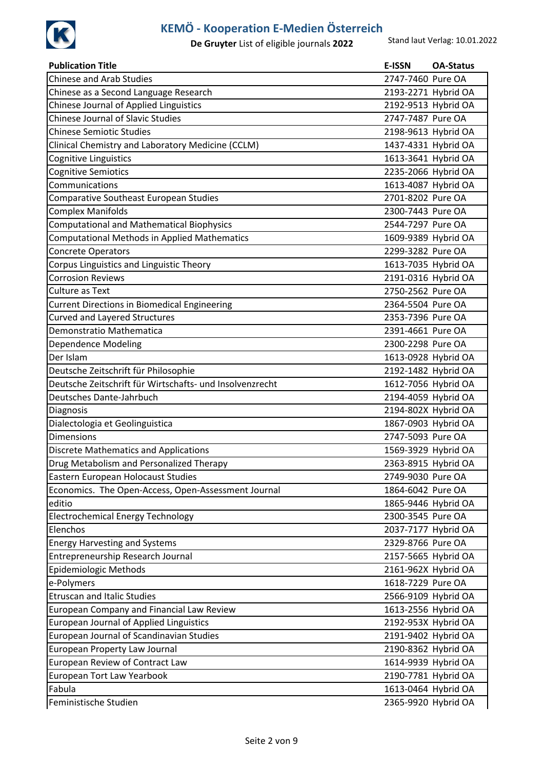

| <b>Publication Title</b>                                 | <b>E-ISSN</b>       | <b>OA-Status</b> |
|----------------------------------------------------------|---------------------|------------------|
| <b>Chinese and Arab Studies</b>                          | 2747-7460 Pure OA   |                  |
| Chinese as a Second Language Research                    | 2193-2271 Hybrid OA |                  |
| Chinese Journal of Applied Linguistics                   | 2192-9513 Hybrid OA |                  |
| <b>Chinese Journal of Slavic Studies</b>                 | 2747-7487 Pure OA   |                  |
| <b>Chinese Semiotic Studies</b>                          | 2198-9613 Hybrid OA |                  |
| Clinical Chemistry and Laboratory Medicine (CCLM)        | 1437-4331 Hybrid OA |                  |
| Cognitive Linguistics                                    | 1613-3641 Hybrid OA |                  |
| <b>Cognitive Semiotics</b>                               | 2235-2066 Hybrid OA |                  |
| Communications                                           | 1613-4087 Hybrid OA |                  |
| Comparative Southeast European Studies                   | 2701-8202 Pure OA   |                  |
| <b>Complex Manifolds</b>                                 | 2300-7443 Pure OA   |                  |
| <b>Computational and Mathematical Biophysics</b>         | 2544-7297 Pure OA   |                  |
| Computational Methods in Applied Mathematics             | 1609-9389 Hybrid OA |                  |
| Concrete Operators                                       | 2299-3282 Pure OA   |                  |
| Corpus Linguistics and Linguistic Theory                 | 1613-7035 Hybrid OA |                  |
| <b>Corrosion Reviews</b>                                 | 2191-0316 Hybrid OA |                  |
| <b>Culture as Text</b>                                   | 2750-2562 Pure OA   |                  |
| <b>Current Directions in Biomedical Engineering</b>      | 2364-5504 Pure OA   |                  |
| <b>Curved and Layered Structures</b>                     | 2353-7396 Pure OA   |                  |
| Demonstratio Mathematica                                 | 2391-4661 Pure OA   |                  |
| Dependence Modeling                                      | 2300-2298 Pure OA   |                  |
| Der Islam                                                | 1613-0928 Hybrid OA |                  |
| Deutsche Zeitschrift für Philosophie                     | 2192-1482 Hybrid OA |                  |
| Deutsche Zeitschrift für Wirtschafts- und Insolvenzrecht | 1612-7056 Hybrid OA |                  |
| Deutsches Dante-Jahrbuch                                 | 2194-4059 Hybrid OA |                  |
| Diagnosis                                                | 2194-802X Hybrid OA |                  |
| Dialectologia et Geolinguistica                          | 1867-0903 Hybrid OA |                  |
| <b>Dimensions</b>                                        | 2747-5093 Pure OA   |                  |
| <b>Discrete Mathematics and Applications</b>             | 1569-3929 Hybrid OA |                  |
| Drug Metabolism and Personalized Therapy                 | 2363-8915 Hybrid OA |                  |
| Eastern European Holocaust Studies                       | 2749-9030 Pure OA   |                  |
| Economics. The Open-Access, Open-Assessment Journal      | 1864-6042 Pure OA   |                  |
| editio                                                   | 1865-9446 Hybrid OA |                  |
| <b>Electrochemical Energy Technology</b>                 | 2300-3545 Pure OA   |                  |
| Elenchos                                                 | 2037-7177 Hybrid OA |                  |
| <b>Energy Harvesting and Systems</b>                     | 2329-8766 Pure OA   |                  |
| Entrepreneurship Research Journal                        | 2157-5665 Hybrid OA |                  |
| Epidemiologic Methods                                    | 2161-962X Hybrid OA |                  |
| e-Polymers                                               | 1618-7229 Pure OA   |                  |
| <b>Etruscan and Italic Studies</b>                       | 2566-9109 Hybrid OA |                  |
| European Company and Financial Law Review                | 1613-2556 Hybrid OA |                  |
| <b>European Journal of Applied Linguistics</b>           | 2192-953X Hybrid OA |                  |
| European Journal of Scandinavian Studies                 | 2191-9402 Hybrid OA |                  |
| European Property Law Journal                            | 2190-8362 Hybrid OA |                  |
| European Review of Contract Law                          | 1614-9939 Hybrid OA |                  |
| European Tort Law Yearbook                               | 2190-7781 Hybrid OA |                  |
| Fabula                                                   | 1613-0464 Hybrid OA |                  |
| Feministische Studien                                    | 2365-9920 Hybrid OA |                  |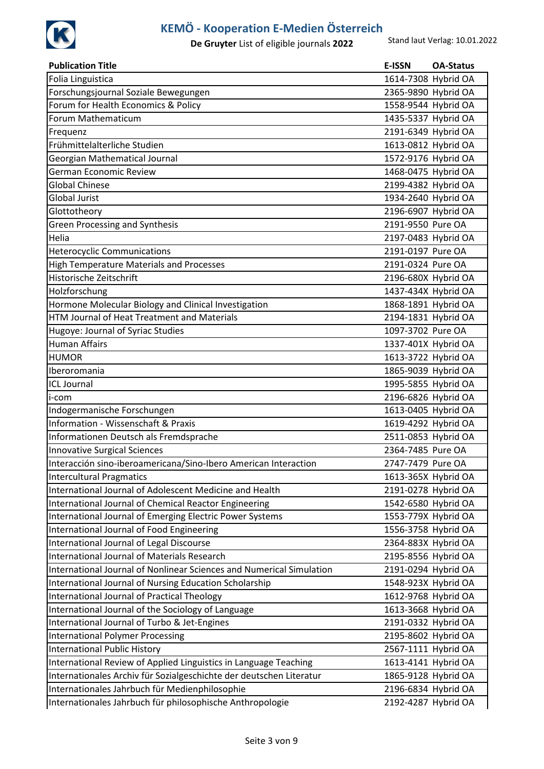

| <b>Publication Title</b>                                             | <b>E-ISSN</b>       | <b>OA-Status</b>    |
|----------------------------------------------------------------------|---------------------|---------------------|
| Folia Linguistica                                                    | 1614-7308 Hybrid OA |                     |
| Forschungsjournal Soziale Bewegungen                                 | 2365-9890 Hybrid OA |                     |
| Forum for Health Economics & Policy                                  |                     | 1558-9544 Hybrid OA |
| Forum Mathematicum                                                   |                     | 1435-5337 Hybrid OA |
| Frequenz                                                             |                     | 2191-6349 Hybrid OA |
| Frühmittelalterliche Studien                                         |                     | 1613-0812 Hybrid OA |
| Georgian Mathematical Journal                                        | 1572-9176 Hybrid OA |                     |
| <b>German Economic Review</b>                                        |                     | 1468-0475 Hybrid OA |
| <b>Global Chinese</b>                                                |                     | 2199-4382 Hybrid OA |
| <b>Global Jurist</b>                                                 |                     | 1934-2640 Hybrid OA |
| Glottotheory                                                         |                     | 2196-6907 Hybrid OA |
| <b>Green Processing and Synthesis</b>                                | 2191-9550 Pure OA   |                     |
| Helia                                                                |                     | 2197-0483 Hybrid OA |
| <b>Heterocyclic Communications</b>                                   | 2191-0197 Pure OA   |                     |
| <b>High Temperature Materials and Processes</b>                      | 2191-0324 Pure OA   |                     |
| Historische Zeitschrift                                              | 2196-680X Hybrid OA |                     |
| Holzforschung                                                        |                     | 1437-434X Hybrid OA |
| Hormone Molecular Biology and Clinical Investigation                 |                     | 1868-1891 Hybrid OA |
| <b>HTM Journal of Heat Treatment and Materials</b>                   |                     | 2194-1831 Hybrid OA |
| Hugoye: Journal of Syriac Studies                                    | 1097-3702 Pure OA   |                     |
| <b>Human Affairs</b>                                                 |                     | 1337-401X Hybrid OA |
| <b>HUMOR</b>                                                         |                     | 1613-3722 Hybrid OA |
| Iberoromania                                                         |                     | 1865-9039 Hybrid OA |
| <b>ICL Journal</b>                                                   |                     | 1995-5855 Hybrid OA |
| i-com                                                                |                     | 2196-6826 Hybrid OA |
| Indogermanische Forschungen                                          |                     | 1613-0405 Hybrid OA |
| <b>Information - Wissenschaft &amp; Praxis</b>                       |                     | 1619-4292 Hybrid OA |
| Informationen Deutsch als Fremdsprache                               | 2511-0853 Hybrid OA |                     |
| <b>Innovative Surgical Sciences</b>                                  | 2364-7485 Pure OA   |                     |
| Interacción sino-iberoamericana/Sino-Ibero American Interaction      | 2747-7479 Pure OA   |                     |
| <b>Intercultural Pragmatics</b>                                      |                     | 1613-365X Hybrid OA |
| International Journal of Adolescent Medicine and Health              |                     | 2191-0278 Hybrid OA |
| International Journal of Chemical Reactor Engineering                |                     | 1542-6580 Hybrid OA |
| International Journal of Emerging Electric Power Systems             |                     | 1553-779X Hybrid OA |
| International Journal of Food Engineering                            |                     | 1556-3758 Hybrid OA |
| <b>International Journal of Legal Discourse</b>                      |                     | 2364-883X Hybrid OA |
| International Journal of Materials Research                          |                     | 2195-8556 Hybrid OA |
| International Journal of Nonlinear Sciences and Numerical Simulation |                     | 2191-0294 Hybrid OA |
| International Journal of Nursing Education Scholarship               |                     | 1548-923X Hybrid OA |
| International Journal of Practical Theology                          |                     | 1612-9768 Hybrid OA |
| International Journal of the Sociology of Language                   |                     | 1613-3668 Hybrid OA |
| International Journal of Turbo & Jet-Engines                         |                     | 2191-0332 Hybrid OA |
| <b>International Polymer Processing</b>                              |                     | 2195-8602 Hybrid OA |
| <b>International Public History</b>                                  |                     | 2567-1111 Hybrid OA |
| International Review of Applied Linguistics in Language Teaching     |                     | 1613-4141 Hybrid OA |
| Internationales Archiv für Sozialgeschichte der deutschen Literatur  |                     | 1865-9128 Hybrid OA |
| Internationales Jahrbuch für Medienphilosophie                       |                     | 2196-6834 Hybrid OA |
| Internationales Jahrbuch für philosophische Anthropologie            |                     | 2192-4287 Hybrid OA |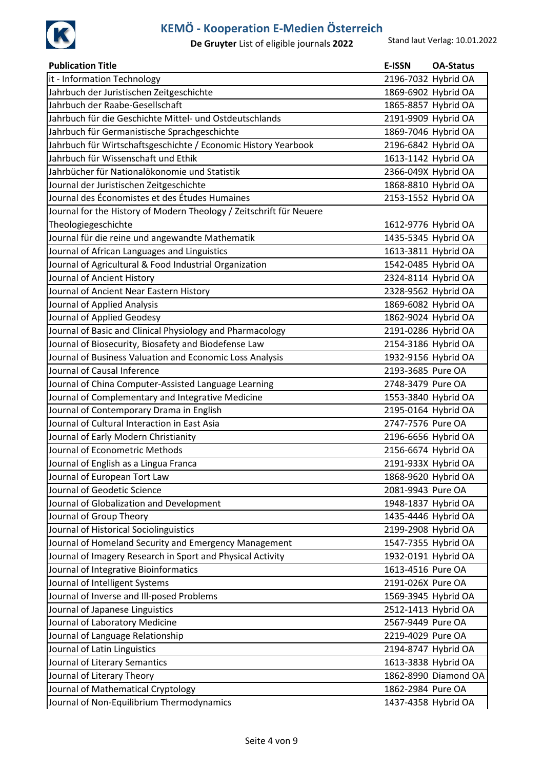

| <b>Publication Title</b>                                            | <b>E-ISSN</b>       | <b>OA-Status</b>     |
|---------------------------------------------------------------------|---------------------|----------------------|
| it - Information Technology                                         | 2196-7032 Hybrid OA |                      |
| Jahrbuch der Juristischen Zeitgeschichte                            | 1869-6902 Hybrid OA |                      |
| Jahrbuch der Raabe-Gesellschaft                                     | 1865-8857 Hybrid OA |                      |
| Jahrbuch für die Geschichte Mittel- und Ostdeutschlands             | 2191-9909 Hybrid OA |                      |
| Jahrbuch für Germanistische Sprachgeschichte                        | 1869-7046 Hybrid OA |                      |
| Jahrbuch für Wirtschaftsgeschichte / Economic History Yearbook      | 2196-6842 Hybrid OA |                      |
| Jahrbuch für Wissenschaft und Ethik                                 | 1613-1142 Hybrid OA |                      |
| Jahrbücher für Nationalökonomie und Statistik                       | 2366-049X Hybrid OA |                      |
| Journal der Juristischen Zeitgeschichte                             | 1868-8810 Hybrid OA |                      |
| Journal des Économistes et des Études Humaines                      | 2153-1552 Hybrid OA |                      |
| Journal for the History of Modern Theology / Zeitschrift für Neuere |                     |                      |
| Theologiegeschichte                                                 | 1612-9776 Hybrid OA |                      |
| Journal für die reine und angewandte Mathematik                     | 1435-5345 Hybrid OA |                      |
| Journal of African Languages and Linguistics                        | 1613-3811 Hybrid OA |                      |
| Journal of Agricultural & Food Industrial Organization              | 1542-0485 Hybrid OA |                      |
| Journal of Ancient History                                          | 2324-8114 Hybrid OA |                      |
| Journal of Ancient Near Eastern History                             | 2328-9562 Hybrid OA |                      |
| Journal of Applied Analysis                                         | 1869-6082 Hybrid OA |                      |
| Journal of Applied Geodesy                                          | 1862-9024 Hybrid OA |                      |
| Journal of Basic and Clinical Physiology and Pharmacology           | 2191-0286 Hybrid OA |                      |
| Journal of Biosecurity, Biosafety and Biodefense Law                | 2154-3186 Hybrid OA |                      |
| Journal of Business Valuation and Economic Loss Analysis            | 1932-9156 Hybrid OA |                      |
| Journal of Causal Inference                                         | 2193-3685 Pure OA   |                      |
| Journal of China Computer-Assisted Language Learning                | 2748-3479 Pure OA   |                      |
| Journal of Complementary and Integrative Medicine                   | 1553-3840 Hybrid OA |                      |
| Journal of Contemporary Drama in English                            | 2195-0164 Hybrid OA |                      |
| Journal of Cultural Interaction in East Asia                        | 2747-7576 Pure OA   |                      |
| Journal of Early Modern Christianity                                | 2196-6656 Hybrid OA |                      |
| Journal of Econometric Methods                                      | 2156-6674 Hybrid OA |                      |
| Journal of English as a Lingua Franca                               | 2191-933X Hybrid OA |                      |
| Journal of European Tort Law                                        | 1868-9620 Hybrid OA |                      |
| Journal of Geodetic Science                                         | 2081-9943 Pure OA   |                      |
| Journal of Globalization and Development                            | 1948-1837 Hybrid OA |                      |
| Journal of Group Theory                                             | 1435-4446 Hybrid OA |                      |
| Journal of Historical Sociolinguistics                              | 2199-2908 Hybrid OA |                      |
| Journal of Homeland Security and Emergency Management               | 1547-7355 Hybrid OA |                      |
| Journal of Imagery Research in Sport and Physical Activity          | 1932-0191 Hybrid OA |                      |
| Journal of Integrative Bioinformatics                               | 1613-4516 Pure OA   |                      |
| Journal of Intelligent Systems                                      | 2191-026X Pure OA   |                      |
| Journal of Inverse and Ill-posed Problems                           | 1569-3945 Hybrid OA |                      |
| Journal of Japanese Linguistics                                     | 2512-1413 Hybrid OA |                      |
| Journal of Laboratory Medicine                                      | 2567-9449 Pure OA   |                      |
| Journal of Language Relationship                                    | 2219-4029 Pure OA   |                      |
| Journal of Latin Linguistics                                        | 2194-8747 Hybrid OA |                      |
| Journal of Literary Semantics                                       |                     | 1613-3838 Hybrid OA  |
| Journal of Literary Theory                                          |                     | 1862-8990 Diamond OA |
| Journal of Mathematical Cryptology                                  | 1862-2984 Pure OA   |                      |
| Journal of Non-Equilibrium Thermodynamics                           | 1437-4358 Hybrid OA |                      |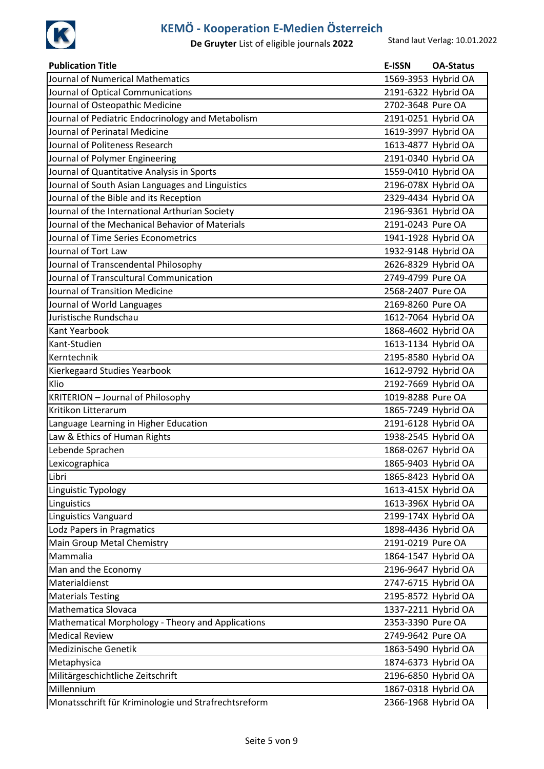

| <b>Publication Title</b>                             | <b>E-ISSN</b>       | <b>OA-Status</b> |
|------------------------------------------------------|---------------------|------------------|
| Journal of Numerical Mathematics                     | 1569-3953 Hybrid OA |                  |
| Journal of Optical Communications                    | 2191-6322 Hybrid OA |                  |
| Journal of Osteopathic Medicine                      | 2702-3648 Pure OA   |                  |
| Journal of Pediatric Endocrinology and Metabolism    | 2191-0251 Hybrid OA |                  |
| Journal of Perinatal Medicine                        | 1619-3997 Hybrid OA |                  |
| Journal of Politeness Research                       | 1613-4877 Hybrid OA |                  |
| Journal of Polymer Engineering                       | 2191-0340 Hybrid OA |                  |
| Journal of Quantitative Analysis in Sports           | 1559-0410 Hybrid OA |                  |
| Journal of South Asian Languages and Linguistics     | 2196-078X Hybrid OA |                  |
| Journal of the Bible and its Reception               | 2329-4434 Hybrid OA |                  |
| Journal of the International Arthurian Society       | 2196-9361 Hybrid OA |                  |
| Journal of the Mechanical Behavior of Materials      | 2191-0243 Pure OA   |                  |
| Journal of Time Series Econometrics                  | 1941-1928 Hybrid OA |                  |
| Journal of Tort Law                                  | 1932-9148 Hybrid OA |                  |
| Journal of Transcendental Philosophy                 | 2626-8329 Hybrid OA |                  |
| Journal of Transcultural Communication               | 2749-4799 Pure OA   |                  |
| Journal of Transition Medicine                       | 2568-2407 Pure OA   |                  |
| Journal of World Languages                           | 2169-8260 Pure OA   |                  |
| Juristische Rundschau                                | 1612-7064 Hybrid OA |                  |
| Kant Yearbook                                        | 1868-4602 Hybrid OA |                  |
| Kant-Studien                                         | 1613-1134 Hybrid OA |                  |
| Kerntechnik                                          | 2195-8580 Hybrid OA |                  |
| Kierkegaard Studies Yearbook                         | 1612-9792 Hybrid OA |                  |
| Klio                                                 | 2192-7669 Hybrid OA |                  |
| <b>KRITERION - Journal of Philosophy</b>             | 1019-8288 Pure OA   |                  |
| Kritikon Litterarum                                  | 1865-7249 Hybrid OA |                  |
| Language Learning in Higher Education                | 2191-6128 Hybrid OA |                  |
| Law & Ethics of Human Rights                         | 1938-2545 Hybrid OA |                  |
| Lebende Sprachen                                     | 1868-0267 Hybrid OA |                  |
| Lexicographica                                       | 1865-9403 Hybrid OA |                  |
| Libri                                                | 1865-8423 Hybrid OA |                  |
| Linguistic Typology                                  | 1613-415X Hybrid OA |                  |
| Linguistics                                          | 1613-396X Hybrid OA |                  |
| <b>Linguistics Vanguard</b>                          | 2199-174X Hybrid OA |                  |
| Lodz Papers in Pragmatics                            | 1898-4436 Hybrid OA |                  |
| Main Group Metal Chemistry                           | 2191-0219 Pure OA   |                  |
| Mammalia                                             | 1864-1547 Hybrid OA |                  |
| Man and the Economy                                  | 2196-9647 Hybrid OA |                  |
| Materialdienst                                       | 2747-6715 Hybrid OA |                  |
| <b>Materials Testing</b>                             | 2195-8572 Hybrid OA |                  |
| <b>Mathematica Slovaca</b>                           | 1337-2211 Hybrid OA |                  |
| Mathematical Morphology - Theory and Applications    | 2353-3390 Pure OA   |                  |
| <b>Medical Review</b>                                | 2749-9642 Pure OA   |                  |
| Medizinische Genetik                                 | 1863-5490 Hybrid OA |                  |
| Metaphysica                                          | 1874-6373 Hybrid OA |                  |
| Militärgeschichtliche Zeitschrift                    | 2196-6850 Hybrid OA |                  |
| Millennium                                           | 1867-0318 Hybrid OA |                  |
| Monatsschrift für Kriminologie und Strafrechtsreform | 2366-1968 Hybrid OA |                  |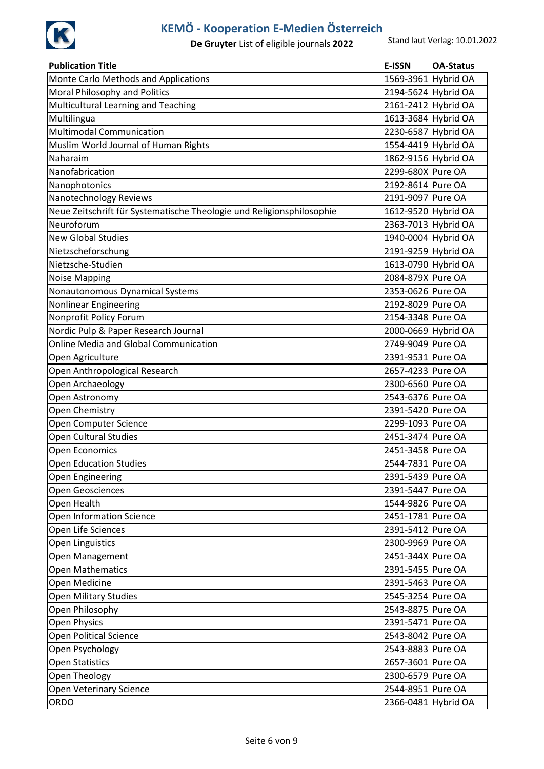

| <b>Publication Title</b>                                              | <b>E-ISSN</b>       | <b>OA-Status</b> |
|-----------------------------------------------------------------------|---------------------|------------------|
| Monte Carlo Methods and Applications                                  | 1569-3961 Hybrid OA |                  |
| Moral Philosophy and Politics                                         | 2194-5624 Hybrid OA |                  |
| Multicultural Learning and Teaching                                   | 2161-2412 Hybrid OA |                  |
| Multilingua                                                           | 1613-3684 Hybrid OA |                  |
| <b>Multimodal Communication</b>                                       | 2230-6587 Hybrid OA |                  |
| Muslim World Journal of Human Rights                                  | 1554-4419 Hybrid OA |                  |
| Naharaim                                                              | 1862-9156 Hybrid OA |                  |
| Nanofabrication                                                       | 2299-680X Pure OA   |                  |
| Nanophotonics                                                         | 2192-8614 Pure OA   |                  |
| Nanotechnology Reviews                                                | 2191-9097 Pure OA   |                  |
| Neue Zeitschrift für Systematische Theologie und Religionsphilosophie | 1612-9520 Hybrid OA |                  |
| Neuroforum                                                            | 2363-7013 Hybrid OA |                  |
| <b>New Global Studies</b>                                             | 1940-0004 Hybrid OA |                  |
| Nietzscheforschung                                                    | 2191-9259 Hybrid OA |                  |
| Nietzsche-Studien                                                     | 1613-0790 Hybrid OA |                  |
| <b>Noise Mapping</b>                                                  | 2084-879X Pure OA   |                  |
| Nonautonomous Dynamical Systems                                       | 2353-0626 Pure OA   |                  |
| Nonlinear Engineering                                                 | 2192-8029 Pure OA   |                  |
| Nonprofit Policy Forum                                                | 2154-3348 Pure OA   |                  |
| Nordic Pulp & Paper Research Journal                                  | 2000-0669 Hybrid OA |                  |
| Online Media and Global Communication                                 | 2749-9049 Pure OA   |                  |
| Open Agriculture                                                      | 2391-9531 Pure OA   |                  |
| Open Anthropological Research                                         | 2657-4233 Pure OA   |                  |
| Open Archaeology                                                      | 2300-6560 Pure OA   |                  |
| Open Astronomy                                                        | 2543-6376 Pure OA   |                  |
| Open Chemistry                                                        | 2391-5420 Pure OA   |                  |
| Open Computer Science                                                 | 2299-1093 Pure OA   |                  |
| <b>Open Cultural Studies</b>                                          | 2451-3474 Pure OA   |                  |
| <b>Open Economics</b>                                                 | 2451-3458 Pure OA   |                  |
| <b>Open Education Studies</b>                                         | 2544-7831 Pure OA   |                  |
| <b>Open Engineering</b>                                               | 2391-5439 Pure OA   |                  |
| Open Geosciences                                                      | 2391-5447 Pure OA   |                  |
| Open Health                                                           | 1544-9826 Pure OA   |                  |
| <b>Open Information Science</b>                                       | 2451-1781 Pure OA   |                  |
| Open Life Sciences                                                    | 2391-5412 Pure OA   |                  |
| <b>Open Linguistics</b>                                               | 2300-9969 Pure OA   |                  |
| Open Management                                                       | 2451-344X Pure OA   |                  |
| <b>Open Mathematics</b>                                               | 2391-5455 Pure OA   |                  |
| Open Medicine                                                         | 2391-5463 Pure OA   |                  |
| <b>Open Military Studies</b>                                          | 2545-3254 Pure OA   |                  |
| Open Philosophy                                                       | 2543-8875 Pure OA   |                  |
| <b>Open Physics</b>                                                   | 2391-5471 Pure OA   |                  |
| <b>Open Political Science</b>                                         | 2543-8042 Pure OA   |                  |
| Open Psychology                                                       | 2543-8883 Pure OA   |                  |
| <b>Open Statistics</b>                                                | 2657-3601 Pure OA   |                  |
| Open Theology                                                         | 2300-6579 Pure OA   |                  |
| Open Veterinary Science                                               | 2544-8951 Pure OA   |                  |
| ORDO                                                                  | 2366-0481 Hybrid OA |                  |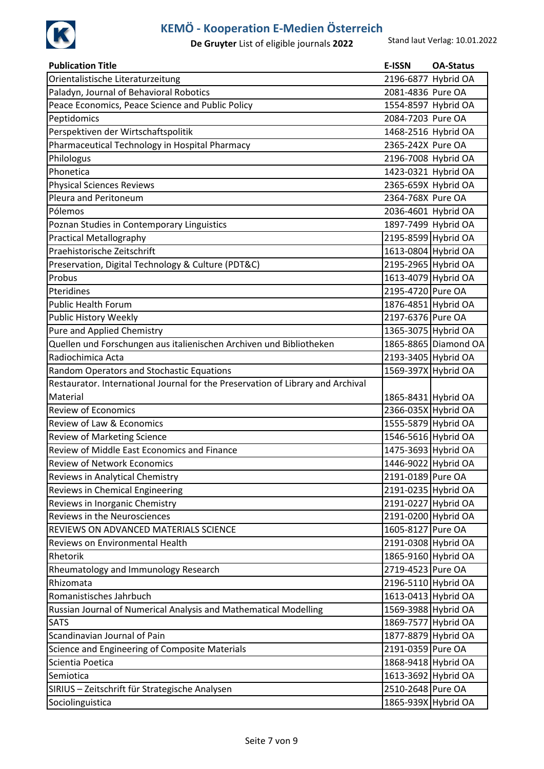

| <b>Publication Title</b>                                                        | <b>E-ISSN</b>       | <b>OA-Status</b>     |
|---------------------------------------------------------------------------------|---------------------|----------------------|
| Orientalistische Literaturzeitung                                               | 2196-6877 Hybrid OA |                      |
| Paladyn, Journal of Behavioral Robotics                                         | 2081-4836 Pure OA   |                      |
| Peace Economics, Peace Science and Public Policy                                | 1554-8597 Hybrid OA |                      |
| Peptidomics                                                                     | 2084-7203 Pure OA   |                      |
| Perspektiven der Wirtschaftspolitik                                             | 1468-2516 Hybrid OA |                      |
| Pharmaceutical Technology in Hospital Pharmacy                                  | 2365-242X Pure OA   |                      |
| Philologus                                                                      | 2196-7008 Hybrid OA |                      |
| Phonetica                                                                       | 1423-0321 Hybrid OA |                      |
| <b>Physical Sciences Reviews</b>                                                | 2365-659X Hybrid OA |                      |
| Pleura and Peritoneum                                                           | 2364-768X Pure OA   |                      |
| Pólemos                                                                         | 2036-4601 Hybrid OA |                      |
| Poznan Studies in Contemporary Linguistics                                      | 1897-7499 Hybrid OA |                      |
| <b>Practical Metallography</b>                                                  | 2195-8599 Hybrid OA |                      |
| Praehistorische Zeitschrift                                                     | 1613-0804 Hybrid OA |                      |
| Preservation, Digital Technology & Culture (PDT&C)                              | 2195-2965 Hybrid OA |                      |
| Probus                                                                          | 1613-4079 Hybrid OA |                      |
| Pteridines                                                                      | 2195-4720 Pure OA   |                      |
| <b>Public Health Forum</b>                                                      | 1876-4851 Hybrid OA |                      |
| Public History Weekly                                                           | 2197-6376 Pure OA   |                      |
| <b>Pure and Applied Chemistry</b>                                               | 1365-3075 Hybrid OA |                      |
| Quellen und Forschungen aus italienischen Archiven und Bibliotheken             |                     | 1865-8865 Diamond OA |
| Radiochimica Acta                                                               | 2193-3405 Hybrid OA |                      |
| Random Operators and Stochastic Equations                                       | 1569-397X Hybrid OA |                      |
| Restaurator. International Journal for the Preservation of Library and Archival |                     |                      |
| Material                                                                        | 1865-8431 Hybrid OA |                      |
| <b>Review of Economics</b>                                                      | 2366-035X Hybrid OA |                      |
| Review of Law & Economics                                                       | 1555-5879 Hybrid OA |                      |
| <b>Review of Marketing Science</b>                                              | 1546-5616 Hybrid OA |                      |
| Review of Middle East Economics and Finance                                     | 1475-3693 Hybrid OA |                      |
| <b>Review of Network Economics</b>                                              | 1446-9022 Hybrid OA |                      |
| Reviews in Analytical Chemistry                                                 | 2191-0189 Pure OA   |                      |
| Reviews in Chemical Engineering                                                 | 2191-0235 Hybrid OA |                      |
| Reviews in Inorganic Chemistry                                                  | 2191-0227 Hybrid OA |                      |
| Reviews in the Neurosciences                                                    | 2191-0200 Hybrid OA |                      |
| REVIEWS ON ADVANCED MATERIALS SCIENCE                                           | 1605-8127 Pure OA   |                      |
| Reviews on Environmental Health                                                 | 2191-0308 Hybrid OA |                      |
| Rhetorik                                                                        | 1865-9160 Hybrid OA |                      |
| Rheumatology and Immunology Research                                            | 2719-4523 Pure OA   |                      |
| Rhizomata                                                                       | 2196-5110 Hybrid OA |                      |
| Romanistisches Jahrbuch                                                         | 1613-0413 Hybrid OA |                      |
| Russian Journal of Numerical Analysis and Mathematical Modelling                | 1569-3988 Hybrid OA |                      |
| <b>SATS</b>                                                                     | 1869-7577 Hybrid OA |                      |
| Scandinavian Journal of Pain                                                    | 1877-8879 Hybrid OA |                      |
| Science and Engineering of Composite Materials                                  | 2191-0359 Pure OA   |                      |
| Scientia Poetica                                                                | 1868-9418 Hybrid OA |                      |
| Semiotica                                                                       | 1613-3692 Hybrid OA |                      |
| SIRIUS - Zeitschrift für Strategische Analysen                                  | 2510-2648 Pure OA   |                      |
| Sociolinguistica                                                                | 1865-939X Hybrid OA |                      |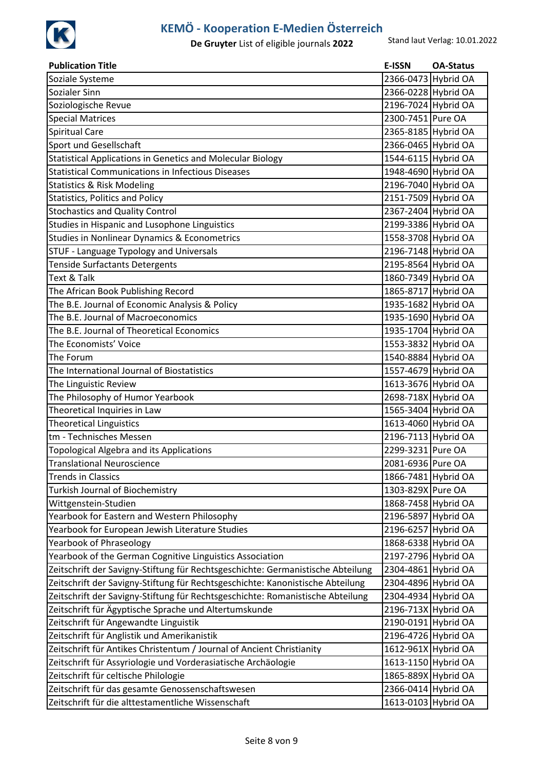

| <b>Publication Title</b>                                                        | E-ISSN              | <b>OA-Status</b> |
|---------------------------------------------------------------------------------|---------------------|------------------|
| Soziale Systeme                                                                 | 2366-0473 Hybrid OA |                  |
| Sozialer Sinn                                                                   | 2366-0228 Hybrid OA |                  |
| Soziologische Revue                                                             | 2196-7024 Hybrid OA |                  |
| <b>Special Matrices</b>                                                         | 2300-7451 Pure OA   |                  |
| <b>Spiritual Care</b>                                                           | 2365-8185 Hybrid OA |                  |
| Sport und Gesellschaft                                                          | 2366-0465 Hybrid OA |                  |
| Statistical Applications in Genetics and Molecular Biology                      | 1544-6115 Hybrid OA |                  |
| <b>Statistical Communications in Infectious Diseases</b>                        | 1948-4690 Hybrid OA |                  |
| <b>Statistics &amp; Risk Modeling</b>                                           | 2196-7040 Hybrid OA |                  |
| <b>Statistics, Politics and Policy</b>                                          | 2151-7509 Hybrid OA |                  |
| <b>Stochastics and Quality Control</b>                                          | 2367-2404 Hybrid OA |                  |
| Studies in Hispanic and Lusophone Linguistics                                   | 2199-3386 Hybrid OA |                  |
| <b>Studies in Nonlinear Dynamics &amp; Econometrics</b>                         | 1558-3708 Hybrid OA |                  |
| STUF - Language Typology and Universals                                         | 2196-7148 Hybrid OA |                  |
| <b>Tenside Surfactants Detergents</b>                                           | 2195-8564 Hybrid OA |                  |
| <b>Text &amp; Talk</b>                                                          | 1860-7349 Hybrid OA |                  |
| The African Book Publishing Record                                              | 1865-8717 Hybrid OA |                  |
| The B.E. Journal of Economic Analysis & Policy                                  | 1935-1682 Hybrid OA |                  |
| The B.E. Journal of Macroeconomics                                              | 1935-1690 Hybrid OA |                  |
| The B.E. Journal of Theoretical Economics                                       | 1935-1704 Hybrid OA |                  |
| The Economists' Voice                                                           | 1553-3832 Hybrid OA |                  |
| The Forum                                                                       | 1540-8884 Hybrid OA |                  |
| The International Journal of Biostatistics                                      | 1557-4679 Hybrid OA |                  |
| The Linguistic Review                                                           | 1613-3676 Hybrid OA |                  |
| The Philosophy of Humor Yearbook                                                | 2698-718X Hybrid OA |                  |
| Theoretical Inquiries in Law                                                    | 1565-3404 Hybrid OA |                  |
| <b>Theoretical Linguistics</b>                                                  | 1613-4060 Hybrid OA |                  |
| tm - Technisches Messen                                                         | 2196-7113 Hybrid OA |                  |
| <b>Topological Algebra and its Applications</b>                                 | 2299-3231 Pure OA   |                  |
| Translational Neuroscience                                                      | 2081-6936 Pure OA   |                  |
| <b>Trends in Classics</b>                                                       | 1866-7481 Hybrid OA |                  |
| Turkish Journal of Biochemistry                                                 | 1303-829X Pure OA   |                  |
| Wittgenstein-Studien                                                            | 1868-7458 Hybrid OA |                  |
| Yearbook for Eastern and Western Philosophy                                     | 2196-5897 Hybrid OA |                  |
| Yearbook for European Jewish Literature Studies                                 | 2196-6257 Hybrid OA |                  |
| <b>Yearbook of Phraseology</b>                                                  | 1868-6338 Hybrid OA |                  |
| Yearbook of the German Cognitive Linguistics Association                        | 2197-2796 Hybrid OA |                  |
| Zeitschrift der Savigny-Stiftung für Rechtsgeschichte: Germanistische Abteilung | 2304-4861 Hybrid OA |                  |
| Zeitschrift der Savigny-Stiftung für Rechtsgeschichte: Kanonistische Abteilung  | 2304-4896 Hybrid OA |                  |
| Zeitschrift der Savigny-Stiftung für Rechtsgeschichte: Romanistische Abteilung  | 2304-4934 Hybrid OA |                  |
| Zeitschrift für Ägyptische Sprache und Altertumskunde                           | 2196-713X Hybrid OA |                  |
| Zeitschrift für Angewandte Linguistik                                           | 2190-0191 Hybrid OA |                  |
| Zeitschrift für Anglistik und Amerikanistik                                     | 2196-4726 Hybrid OA |                  |
| Zeitschrift für Antikes Christentum / Journal of Ancient Christianity           | 1612-961X Hybrid OA |                  |
| Zeitschrift für Assyriologie und Vorderasiatische Archäologie                   | 1613-1150 Hybrid OA |                  |
| Zeitschrift für celtische Philologie                                            | 1865-889X Hybrid OA |                  |
| Zeitschrift für das gesamte Genossenschaftswesen                                | 2366-0414 Hybrid OA |                  |
| Zeitschrift für die alttestamentliche Wissenschaft                              | 1613-0103 Hybrid OA |                  |
|                                                                                 |                     |                  |